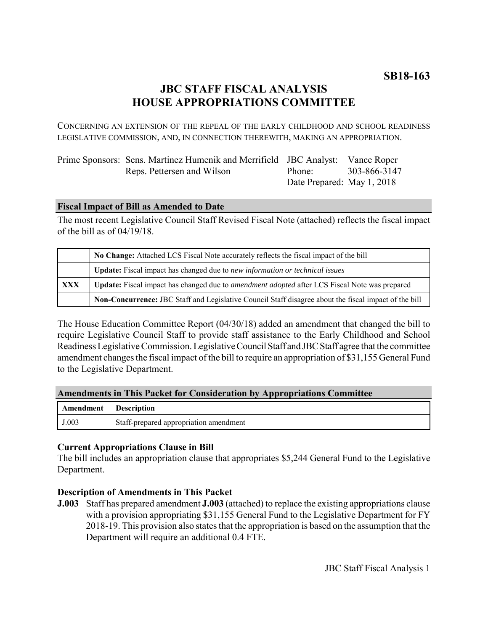# **JBC STAFF FISCAL ANALYSIS HOUSE APPROPRIATIONS COMMITTEE**

CONCERNING AN EXTENSION OF THE REPEAL OF THE EARLY CHILDHOOD AND SCHOOL READINESS LEGISLATIVE COMMISSION, AND, IN CONNECTION THEREWITH, MAKING AN APPROPRIATION.

| Prime Sponsors: Sens. Martinez Humenik and Merrifield JBC Analyst: Vance Roper |                            |              |
|--------------------------------------------------------------------------------|----------------------------|--------------|
| Reps. Pettersen and Wilson                                                     | Phone:                     | 303-866-3147 |
|                                                                                | Date Prepared: May 1, 2018 |              |

## **Fiscal Impact of Bill as Amended to Date**

The most recent Legislative Council Staff Revised Fiscal Note (attached) reflects the fiscal impact of the bill as of 04/19/18.

|            | No Change: Attached LCS Fiscal Note accurately reflects the fiscal impact of the bill                       |  |
|------------|-------------------------------------------------------------------------------------------------------------|--|
|            | <b>Update:</b> Fiscal impact has changed due to new information or technical issues                         |  |
| <b>XXX</b> | <b>Update:</b> Fiscal impact has changed due to <i>amendment adopted</i> after LCS Fiscal Note was prepared |  |
|            | Non-Concurrence: JBC Staff and Legislative Council Staff disagree about the fiscal impact of the bill       |  |

The House Education Committee Report (04/30/18) added an amendment that changed the bill to require Legislative Council Staff to provide staff assistance to the Early Childhood and School Readiness Legislative Commission. Legislative Council Staff and JBC Staff agree that the committee amendment changes the fiscal impact of the bill to require an appropriation of \$31,155 General Fund to the Legislative Department.

## **Amendments in This Packet for Consideration by Appropriations Committee**

| Amendment | <b>Description</b>                     |
|-----------|----------------------------------------|
| J.003     | Staff-prepared appropriation amendment |

## **Current Appropriations Clause in Bill**

The bill includes an appropriation clause that appropriates \$5,244 General Fund to the Legislative Department.

## **Description of Amendments in This Packet**

**J.003** Staff has prepared amendment **J.003** (attached) to replace the existing appropriations clause with a provision appropriating \$31,155 General Fund to the Legislative Department for FY 2018-19. This provision also states that the appropriation is based on the assumption that the Department will require an additional 0.4 FTE.